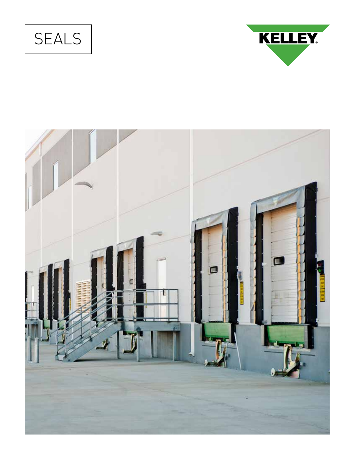



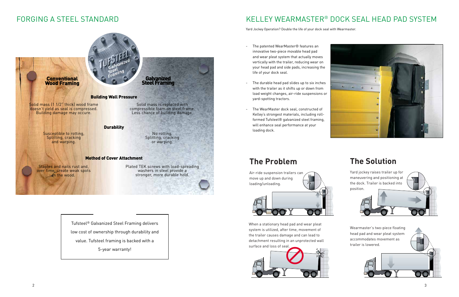### FORGING A STEEL STANDARD

Staples and nails rust and, over time, create weak spots **in the wood.** 



Plated TEK screws with load-spreading washers in steel provide a stronger, more durable hold.

# KELLEY WEARMASTER® DOCK SEAL HEAD PAD SYSTEM

Yard Jockey Operation? Double the life of your dock seal with Wearmaster.

Air-ride suspension trailers can move up and down during loading/unloading.  $\odot$  (o)  $\odot$   $\odot$ 

- The patented WearMaster® features an innovative two-piece movable head pad and wear pleat system that actually moves vertically with the trailer, reducing wear on your head pad and side pads, increasing the life of your dock seal.
- The durable head pad slides up to six inches with the trailer as it shifts up or down from load weight changes, air-ride suspensions or yard-spotting tractors.
- The WearMaster dock seal, constructed of Kelley's strongest materials, including rollformed Tufsteel® galvanized steel framing, will enhance seal performance at your loading dock.



When a stationary head pad and wear pleat system is utilized, after time, movement of the trailer causes damage and can lead to detachment resulting in an unprotected wall surface and loss of seal.



# **The Problem The Solution**



Wearmaster's two-piece floating head pad and wear pleat system accommodates movement as trailer is lowered.



Tufsteel® Galvanized Steel Framing delivers low cost of ownership through durability and value. Tufsteel framing is backed with a 5-year warranty!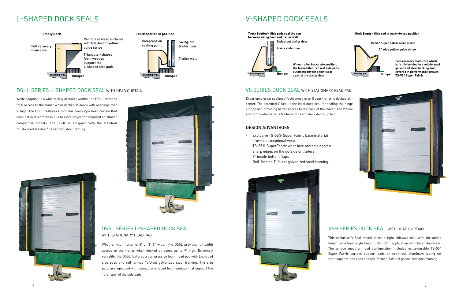

## L-SHAPED DOCK SEALS V-SHAPED DOCK SEALS



#### DSHL SERIES L-SHAPED DOCK SEAL WITH HEAD CURTAIN

While adapting to a wide variety of trailer widths, the DSHL provides total access to the trailer when docked at doors with openings over 9' high. The DSHL features a modular hood-style head curtain that does not over-compress due to extra projection required on similar competitive models. The DSHL is equipped with the standard roll-formed Tufsteel® galvanized steel framing.





#### DSSL SERIES L-SHAPED DOCK SEAL WITH STATIONARY HEAD PAD

Whether your trailer is 8' or 8' 6" wide, the DSSL provides full-width access to the trailer when docked at doors up to 9' high. Extremely versatile, the DSSL features a compression foam head pad with L-shaped side pads and roll-formed Tufsteel galvanized steel framing. The side pads are equipped with triangular-shaped foam wedges that support the "L-shape" of the side pads.







### VS SERIES DOCK SEAL WITH STATIONARY HEAD PAD

Experience great sealing effectiveness even if your trailer is docked offcenter. The patented V-Seal is the ideal dock seal for sealing the hinge air gap and providing better access to the back of the trailer. The V-Seal accommodates various trailer widths and dock doors up to 9'.

#### DESIGN ADVANTAGES

- Exclusive TS-55® Super Fabric base material provides exceptional wear.
- TS-55® SuperFabric wear face protects against sharp edges on the outside of trailers.
- 3" inside bottom flaps.
- Roll-formed Tufsteel galvanized steel framing.

### VSH SERIES DOCK SEAL WITH HEAD CURTAIN

This exclusive V-Seal model offers a tight sidewall seal, with the added benefit of a hood-style head curtain for application with taller doorways. The unique modular hood configuration includes extra-durable TS-55® Super Fabric curtain, support pads on seamless aluminum tubing for front support, end caps and roll-formed Tufsteel galvanized steel framing.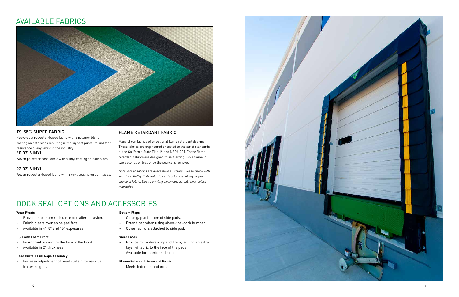

#### FLAME RETARDANT FABRIC

Many of our fabrics offer optional flame retardant designs. These fabrics are engineered or tested to the strict standards of the California State Title 19 and NFPA-701. These flame retardant fabrics are designed to self extinguish a flame in two seconds or less once the source is removed.

*Note: Not all fabrics are available in all colors. Please check with your local Kelley Distributor to verify color availability in your choice of fabric. Due to printing variances, actual fabric colors may differ.*

#### TS-55® SUPER FABRIC

Heavy-duty polyester-based fabric with a polymer blend coating on both sides resulting in the highest puncture and tear resistance of any fabric in the industry.

#### 40 OZ. VINYL

Woven polyester base fabric with a vinyl coating on both sides.

#### 22 OZ. VINYL

Woven polyester-based fabric with a vinyl coating on both sides.

### AVAILABLE FABRICS



## DOCK SEAL OPTIONS AND ACCESSORIES

#### **Wear Pleats**

- Provide maximum resistance to trailer abrasion.
- Fabric pleats overlap on pad face.
- Available in 4", 8" and 16" exposures.

#### **DSH with Foam Front**

- Foam front is sewn to the face of the hood
- Available in 2" thickness.

#### **Head Curtain Pull Rope Assembly**

- For easy adjustment of head curtain for various trailer heights.

#### **Bottom Flaps**

- Close gap at bottom of side pads.
- Extend pad when using above-the-dock bumper
- Cover fabric is attached to side pad.

#### **Wear Faces**

- Provide more durability and life by adding an extra layer of fabric to the face of the pads
- Available for interior side pad.

#### **Flame-Retardant Foam and Fabric**

- Meets federal standards.